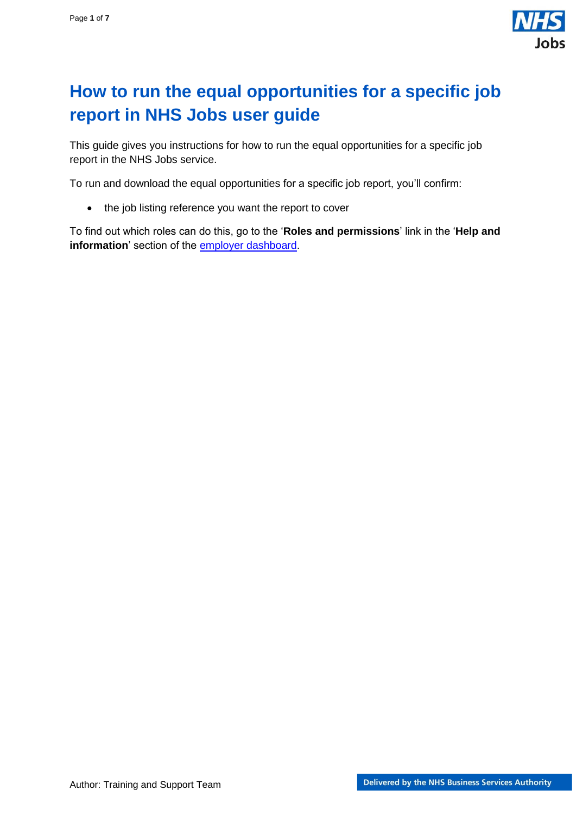

# <span id="page-0-0"></span>**How to run the equal opportunities for a specific job report in NHS Jobs user guide**

This guide gives you instructions for how to run the equal opportunities for a specific job report in the NHS Jobs service.

To run and download the equal opportunities for a specific job report, you'll confirm:

• the job listing reference you want the report to cover

To find out which roles can do this, go to the '**Roles and permissions**' link in the '**Help and**  information' section of the **employer dashboard**.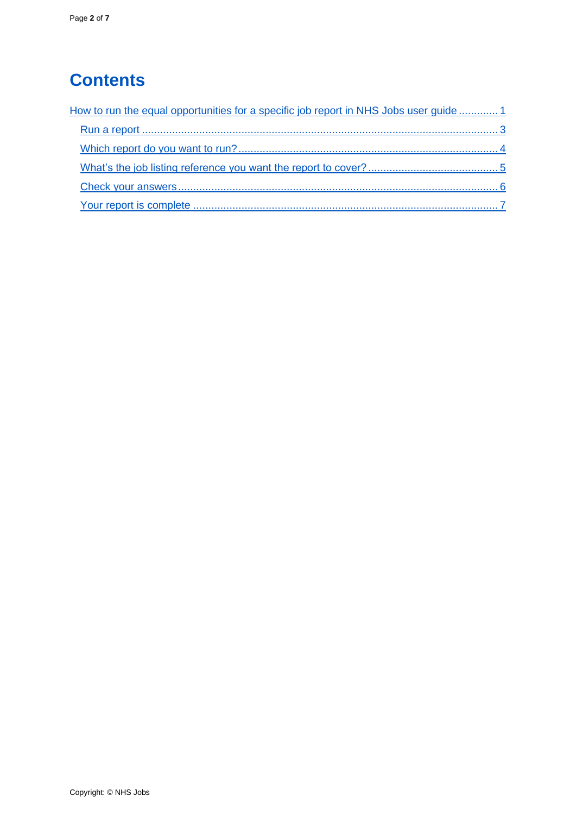# **Contents**

| How to run the equal opportunities for a specific job report in NHS Jobs user guide  1 |  |
|----------------------------------------------------------------------------------------|--|
|                                                                                        |  |
|                                                                                        |  |
|                                                                                        |  |
|                                                                                        |  |
|                                                                                        |  |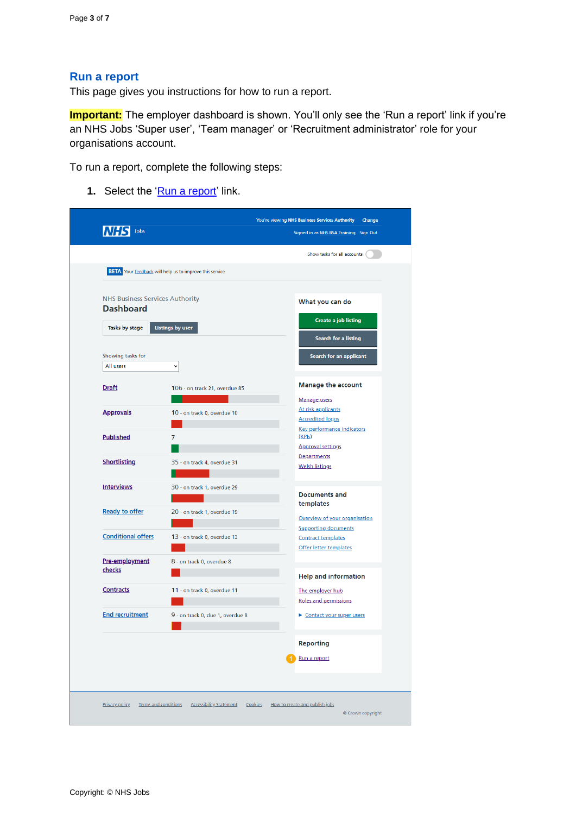#### <span id="page-2-0"></span>**Run a report**

This page gives you instructions for how to run a report.

**Important:** The employer dashboard is shown. You'll only see the 'Run a report' link if you're an NHS Jobs 'Super user', 'Team manager' or 'Recruitment administrator' role for your organisations account.

To run a report, complete the following steps:

**1.** Select the ['Run a report'](#page-3-0) link.

| Jobs                                                       |                                                                        | Signed in as NHS BSA Training Sign Out                                    |
|------------------------------------------------------------|------------------------------------------------------------------------|---------------------------------------------------------------------------|
|                                                            |                                                                        | Show tasks for all accounts                                               |
|                                                            | <b>BETA</b> Your <b>feedback</b> will help us to improve this service. |                                                                           |
| <b>NHS Business Services Authority</b><br><b>Dashboard</b> |                                                                        | What you can do                                                           |
| Tasks by stage<br><b>Listings by user</b>                  |                                                                        | Create a job listing                                                      |
| Showing tasks for<br>All users                             | v                                                                      | Search for a listing<br>Search for an applicant                           |
| <b>Draft</b>                                               | 106 - on track 21, overdue 85                                          | <b>Manage the account</b>                                                 |
| <b>Approvals</b>                                           | 10 - on track 0, overdue 10                                            | <b>Manage users</b><br>At risk applicants<br><b>Accredited logos</b>      |
| <b>Published</b>                                           | $\overline{7}$                                                         | <b>Key performance indicators</b><br>(KPIs)<br><b>Approval settings</b>   |
| <b>Shortlisting</b>                                        | 35 - on track 4, overdue 31                                            | Departments<br><b>Welsh listings</b>                                      |
| <b>Interviews</b>                                          | 30 - on track 1, overdue 29                                            | <b>Documents and</b>                                                      |
| <b>Ready to offer</b>                                      | 20 - on track 1, overdue 19                                            | templates<br>Overview of your organisation<br><b>Supporting documents</b> |
| <b>Conditional offers</b>                                  | 13 - on track 0, overdue 13                                            | <b>Contract templates</b><br><b>Offer letter templates</b>                |
| Pre-employment<br>checks                                   | 8 - on track 0, overdue 8                                              | <b>Help and information</b>                                               |
| <b>Contracts</b>                                           | 11 - on track 0, overdue 11                                            | The employer hub<br>Roles and permissions                                 |
| <b>End recruitment</b>                                     | 9 - on track 0, due 1, overdue 8                                       | Contact your super users                                                  |
|                                                            |                                                                        | <b>Reporting</b>                                                          |
|                                                            |                                                                        | Run a report                                                              |
| Terms and conditions<br><b>Privacy policy</b>              | <b>Accessibility Statement</b>                                         | How to create and publish jobs<br>Cookies                                 |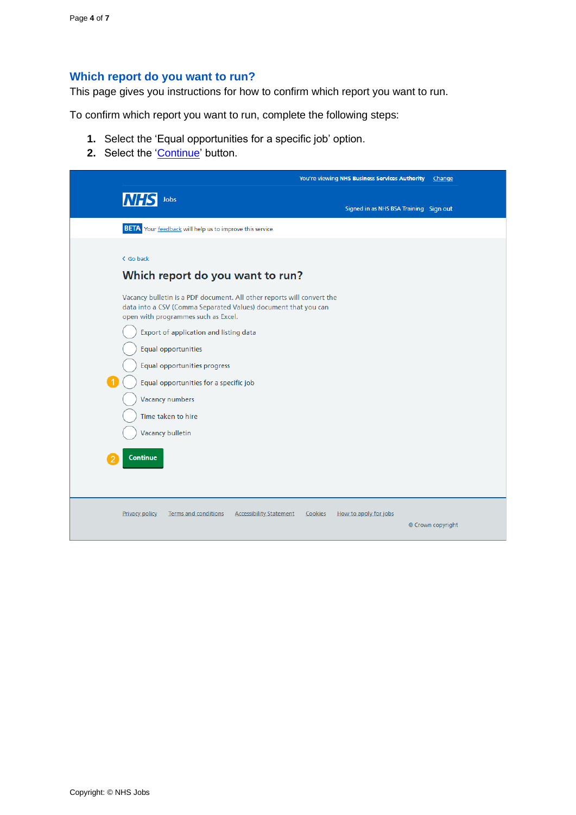### <span id="page-3-0"></span>**Which report do you want to run?**

This page gives you instructions for how to confirm which report you want to run.

To confirm which report you want to run, complete the following steps:

- **1.** Select the 'Equal opportunities for a specific job' option.
- 2. Select the ['Continue'](#page-4-0) button.

|                                                                                                                                                                                                                                                                                                                                                                                                            | <b>You're viewing NHS Business Services Authority</b><br>Change |
|------------------------------------------------------------------------------------------------------------------------------------------------------------------------------------------------------------------------------------------------------------------------------------------------------------------------------------------------------------------------------------------------------------|-----------------------------------------------------------------|
| <b>NHS</b><br>Jobs                                                                                                                                                                                                                                                                                                                                                                                         | Signed in as NHS BSA Training Sign out                          |
| <b>BETA</b> Your feedback will help us to improve this service.                                                                                                                                                                                                                                                                                                                                            |                                                                 |
| < Go back<br>Which report do you want to run?                                                                                                                                                                                                                                                                                                                                                              |                                                                 |
| Vacancy bulletin is a PDF document. All other reports will convert the<br>data into a CSV (Comma Separated Values) document that you can<br>open with programmes such as Excel.<br>Export of application and listing data<br>Equal opportunities<br>Equal opportunities progress<br>Equal opportunities for a specific job<br><b>Vacancy numbers</b><br>Time taken to hire<br>Vacancy bulletin<br>Continue |                                                                 |
| <b>Privacy policy</b><br>Terms and conditions<br><b>Accessibility Statement</b>                                                                                                                                                                                                                                                                                                                            | Cookies<br>How to apply for jobs<br>© Crown copyright           |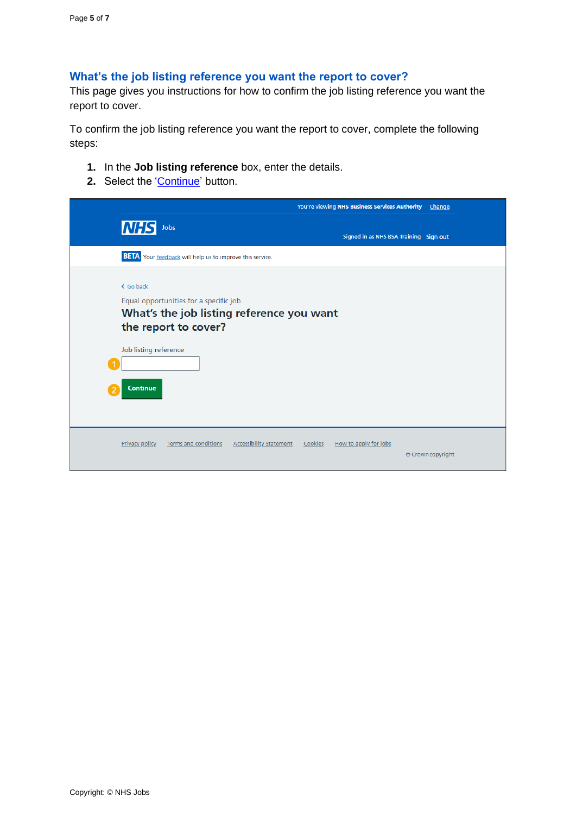### <span id="page-4-0"></span>**What's the job listing reference you want the report to cover?**

This page gives you instructions for how to confirm the job listing reference you want the report to cover.

To confirm the job listing reference you want the report to cover, complete the following steps:

- **1.** In the **Job listing reference** box, enter the details.
- **2.** Select the ['Continue'](#page-5-0) button.

|                                                                                                                                                                      | You're viewing NHS Business Services Authority Change |
|----------------------------------------------------------------------------------------------------------------------------------------------------------------------|-------------------------------------------------------|
| <b>NHS</b><br>Jobs                                                                                                                                                   | Signed in as NHS BSA Training Sign out                |
| <b>BETA</b> Your feedback will help us to improve this service.                                                                                                      |                                                       |
| < Go back<br>Equal opportunities for a specific job<br>What's the job listing reference you want<br>the report to cover?<br>Job listing reference<br><b>Continue</b> |                                                       |
| <b>Terms and conditions</b><br><b>Privacy policy</b><br><b>Accessibility Statement</b>                                                                               | Cookies<br>How to apply for jobs<br>© Crown copyright |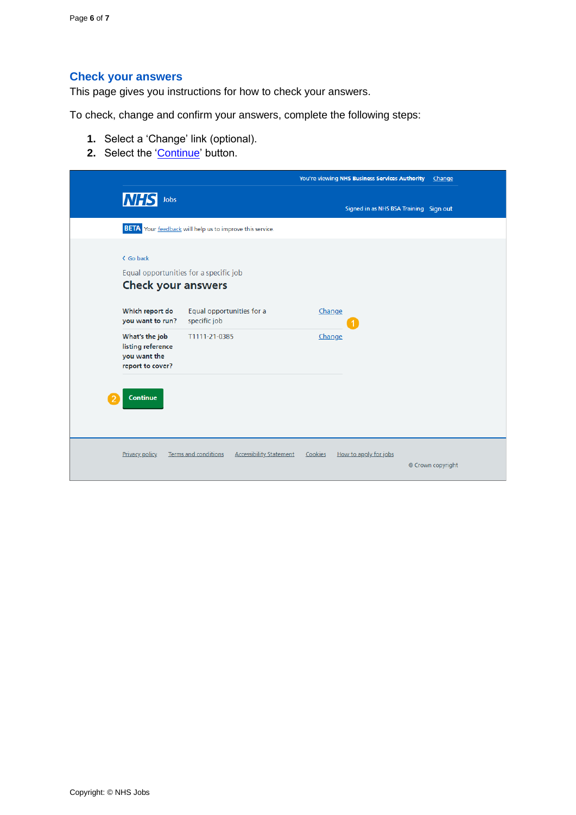## <span id="page-5-0"></span>**Check your answers**

This page gives you instructions for how to check your answers.

To check, change and confirm your answers, complete the following steps:

- **1.** Select a 'Change' link (optional).
- **2.** Select the ['Continue'](#page-6-0) button.

|                                                                         |                                                                     |                                           | You're viewing NHS Business Services Authority | Change            |
|-------------------------------------------------------------------------|---------------------------------------------------------------------|-------------------------------------------|------------------------------------------------|-------------------|
| <b>NHS</b>                                                              | Jobs                                                                |                                           | Signed in as NHS BSA Training Sign out         |                   |
|                                                                         | <b>BETA</b> Your feedback will help us to improve this service.     |                                           |                                                |                   |
| < Go back                                                               | Equal opportunities for a specific job<br><b>Check your answers</b> |                                           |                                                |                   |
| Which report do<br>you want to run?                                     | Equal opportunities for a<br>specific job                           | Change                                    |                                                |                   |
| What's the job<br>listing reference<br>you want the<br>report to cover? | T1111-21-0385                                                       | Change                                    |                                                |                   |
| <b>Continue</b>                                                         |                                                                     |                                           |                                                |                   |
|                                                                         |                                                                     |                                           |                                                |                   |
| <b>Privacy policy</b>                                                   | <b>Terms and conditions</b>                                         | <b>Accessibility Statement</b><br>Cookies | How to apply for jobs                          | © Crown copyright |